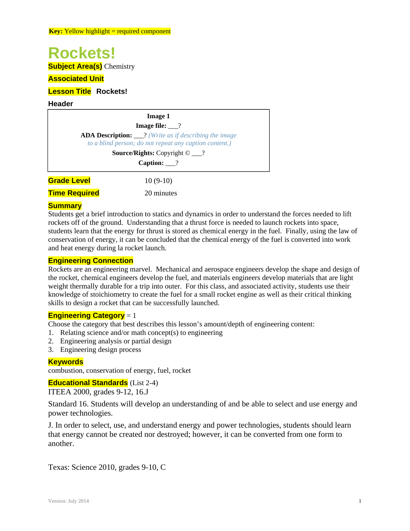### **Rockets!**

**Subject Area(s)** Chemistry

#### **Associated Unit**

#### **Lesson Title Rockets!**

#### **Header**

| <b>Image 1</b><br><b>Image file:</b> $\_\$ ? |                                                        |
|----------------------------------------------|--------------------------------------------------------|
|                                              |                                                        |
|                                              | to a blind person; do not repeat any caption content.) |
|                                              | <b>Source/Rights:</b> Copyright $\odot$ __?            |
|                                              | Caption: $\frac{?}{?}$                                 |
| <b>Grade Level</b>                           | $10(9-10)$                                             |
| <b>Time Required</b>                         | 20 minutes                                             |

### **Summary**

Students get a brief introduction to statics and dynamics in order to understand the forces needed to lift rockets off of the ground. Understanding that a thrust force is needed to launch rockets into space, students learn that the energy for thrust is stored as chemical energy in the fuel. Finally, using the law of conservation of energy, it can be concluded that the chemical energy of the fuel is converted into work and heat energy during la rocket launch.

#### **Engineering Connection**

Rockets are an engineering marvel. Mechanical and aerospace engineers develop the shape and design of the rocket, chemical engineers develop the fuel, and materials engineers develop materials that are light weight thermally durable for a trip into outer. For this class, and associated activity, students use their knowledge of stoichiometry to create the fuel for a small rocket engine as well as their critical thinking skills to design a rocket that can be successfully launched.

#### **Engineering Category** = 1

Choose the category that best describes this lesson's amount/depth of engineering content:

- 1. Relating science and/or math concept(s) to engineering
- 2. Engineering analysis or partial design
- 3. Engineering design process

#### **Keywords**

combustion, conservation of energy, fuel, rocket

#### **Educational Standards** (List 2-4)

ITEEA 2000, grades 9-12, 16.J

Standard 16. Students will develop an understanding of and be able to select and use energy and power technologies.

J. In order to select, use, and understand energy and power technologies, students should learn that energy cannot be created nor destroyed; however, it can be converted from one form to another.

Texas: Science 2010, grades 9-10, C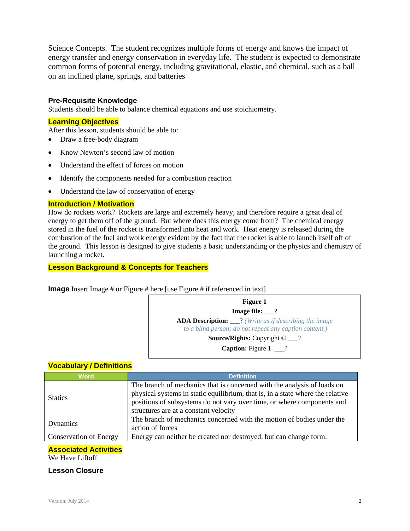Science Concepts. The student recognizes multiple forms of energy and knows the impact of energy transfer and energy conservation in everyday life. The student is expected to demonstrate common forms of potential energy, including gravitational, elastic, and chemical, such as a ball on an inclined plane, springs, and batteries

#### **Pre-Requisite Knowledge**

Students should be able to balance chemical equations and use stoichiometry.

#### **Learning Objectives**

After this lesson, students should be able to:

- Draw a free-body diagram
- Know Newton's second law of motion
- Understand the effect of forces on motion
- Identify the components needed for a combustion reaction
- Understand the law of conservation of energy

#### **Introduction / Motivation**

How do rockets work? Rockets are large and extremely heavy, and therefore require a great deal of energy to get them off of the ground. But where does this energy come from? The chemical energy stored in the fuel of the rocket is transformed into heat and work. Heat energy is released during the combustion of the fuel and work energy evident by the fact that the rocket is able to launch itself off of the ground. This lesson is designed to give students a basic understanding or the physics and chemistry of launching a rocket.

#### **Lesson Background & Concepts for Teachers**

**Image** Insert Image # or Figure # here [use Figure # if referenced in text]



#### **Vocabulary / Definitions**

| <b>Word</b>                   | <b>Definition</b>                                                                                                                                                                                                                                                            |
|-------------------------------|------------------------------------------------------------------------------------------------------------------------------------------------------------------------------------------------------------------------------------------------------------------------------|
| <b>Statics</b>                | The branch of mechanics that is concerned with the analysis of loads on<br>physical systems in static equilibrium, that is, in a state where the relative<br>positions of subsystems do not vary over time, or where components and<br>structures are at a constant velocity |
| Dynamics                      | The branch of mechanics concerned with the motion of bodies under the<br>action of forces                                                                                                                                                                                    |
| <b>Conservation of Energy</b> | Energy can neither be created nor destroyed, but can change form.                                                                                                                                                                                                            |

#### **Associated Activities**

We Have Liftoff

#### **Lesson Closure**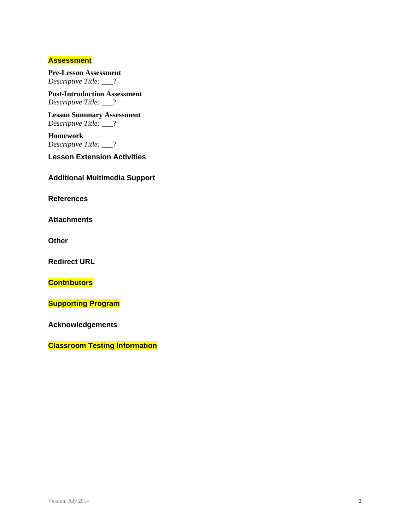#### **Assessment**

**Pre-Lesson Assessment**  *Descriptive Title:* \_\_\_?

**Post-Introduction Assessment**  *Descriptive Title:* \_\_\_?

**Lesson Summary Assessment**  *Descriptive Title:* \_\_\_?

**Homework**  *Descriptive Title:* \_\_\_?

**Lesson Extension Activities**

**Additional Multimedia Support** 

**References** 

**Attachments** 

**Other** 

**Redirect URL** 

**Contributors**

**Supporting Program** 

**Acknowledgements** 

**Classroom Testing Information**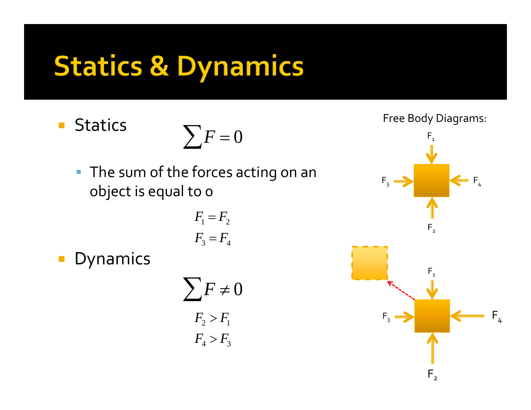# **Statics & Dynamics**

 $\mathcal{L}_{\mathcal{A}}$ **Statics** 



**The sum of the forces acting on an** object is equal to <sup>0</sup>

$$
F_1 = F_2
$$

$$
F_3 = F_4
$$

 $\mathcal{L}_{\mathcal{A}}$ Dynamics

$$
\sum F \neq 0
$$
  
F<sub>2</sub> > F<sub>1</sub>  
F<sub>4</sub> > F<sub>3</sub>

Free Body Diagrams:

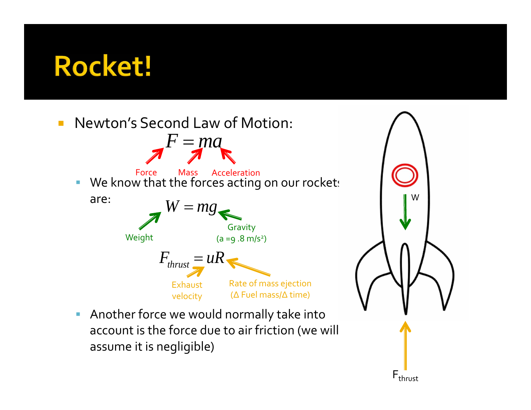



 $\mathcal{L}_{\mathcal{A}}$  Another force we would normally take into account is the force due to air friction (we will assume it is negligible)

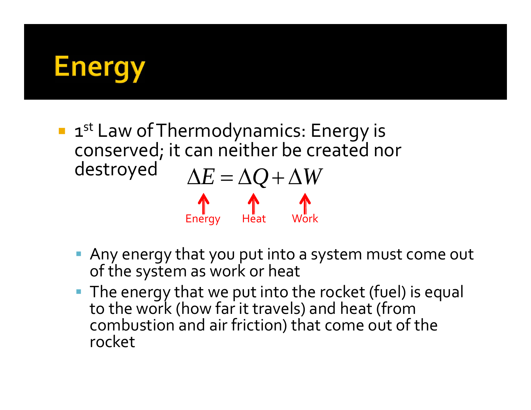

- **1st Law of Thermodynamics: Energy is** conserved; it can neither be created nor destroyed  $\Delta E = \Delta Q + \Delta W$ Energy Heat Work
	- Any energy that you pu<sup>t</sup> into <sup>a</sup> system must come out of the system as work or heat
	- **The energy that we put into the rocket (fuel) is equal** to the work (how far it travels) and heat (from combustion and air friction) that come out of the rocket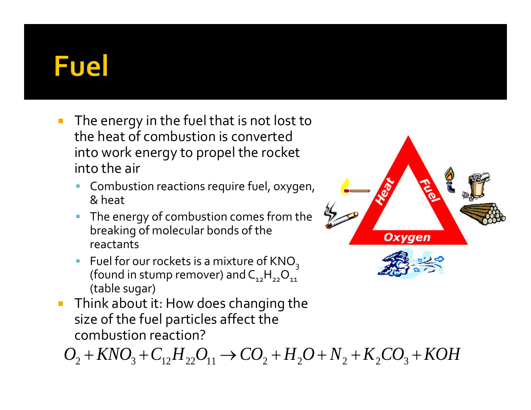### **Fuel**

- $\mathbb{R}^n$  The energy in the fuel that is not lost to the heat of combustion is convertedinto work energy to propel the rocket into the air
	- **Combustion reactions require fuel, oxygen,** & heat
	- The energy of combustion comes from the breaking of molecular bonds of the reactants
	- **Fuel for our rockets is a mixture** (found in stump remover) and  $C_{12}H_{22}O_{11}$ (table sugar)
- **Think about it: How does changing the** size of the fuel particles affect the combustion reaction?

 $O_2 + KNO_3 + C_{12}H_{22}O_{11} \rightarrow CO_2 + H_2O + N_2 + K_2CO_3 + KOH$ 

**Oxygen**